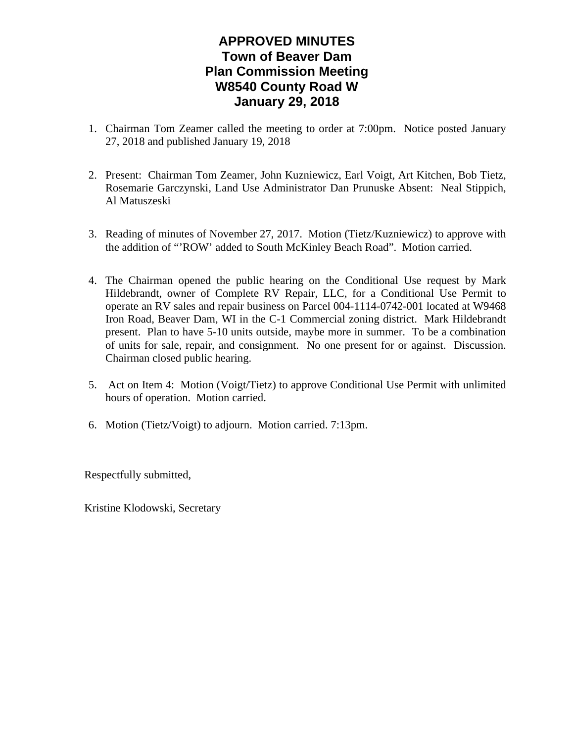# **APPROVED MINUTES Town of Beaver Dam Plan Commission Meeting W8540 County Road W January 29, 2018**

- 1. Chairman Tom Zeamer called the meeting to order at 7:00pm. Notice posted January 27, 2018 and published January 19, 2018
- 2. Present: Chairman Tom Zeamer, John Kuzniewicz, Earl Voigt, Art Kitchen, Bob Tietz, Rosemarie Garczynski, Land Use Administrator Dan Prunuske Absent: Neal Stippich, Al Matuszeski
- 3. Reading of minutes of November 27, 2017. Motion (Tietz/Kuzniewicz) to approve with the addition of "'ROW' added to South McKinley Beach Road". Motion carried.
- 4. The Chairman opened the public hearing on the Conditional Use request by Mark Hildebrandt, owner of Complete RV Repair, LLC, for a Conditional Use Permit to operate an RV sales and repair business on Parcel 004-1114-0742-001 located at W9468 Iron Road, Beaver Dam, WI in the C-1 Commercial zoning district. Mark Hildebrandt present. Plan to have 5-10 units outside, maybe more in summer. To be a combination of units for sale, repair, and consignment. No one present for or against. Discussion. Chairman closed public hearing.
- 5. Act on Item 4: Motion (Voigt/Tietz) to approve Conditional Use Permit with unlimited hours of operation. Motion carried.
- 6. Motion (Tietz/Voigt) to adjourn. Motion carried. 7:13pm.

Respectfully submitted,

Kristine Klodowski, Secretary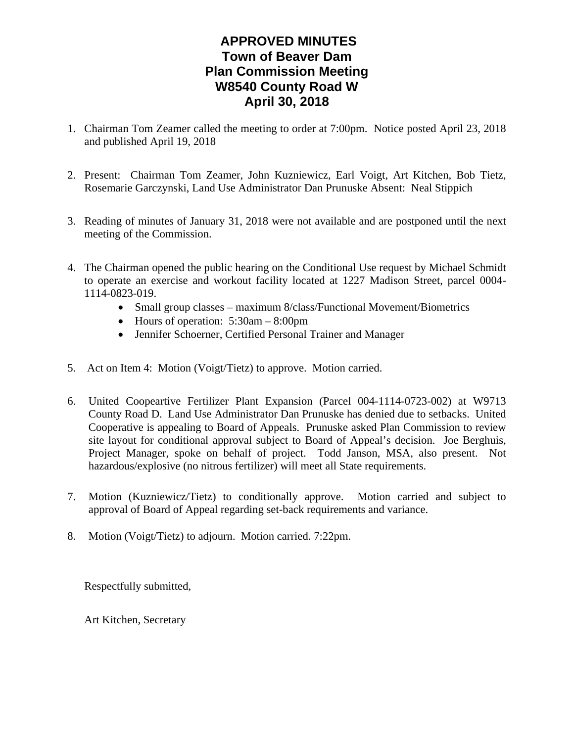# **APPROVED MINUTES Town of Beaver Dam Plan Commission Meeting W8540 County Road W April 30, 2018**

- 1. Chairman Tom Zeamer called the meeting to order at 7:00pm. Notice posted April 23, 2018 and published April 19, 2018
- 2. Present: Chairman Tom Zeamer, John Kuzniewicz, Earl Voigt, Art Kitchen, Bob Tietz, Rosemarie Garczynski, Land Use Administrator Dan Prunuske Absent: Neal Stippich
- 3. Reading of minutes of January 31, 2018 were not available and are postponed until the next meeting of the Commission.
- 4. The Chairman opened the public hearing on the Conditional Use request by Michael Schmidt to operate an exercise and workout facility located at 1227 Madison Street, parcel 0004- 1114-0823-019.
	- Small group classes maximum 8/class/Functional Movement/Biometrics
	- Hours of operation:  $5:30$ am  $8:00$ pm
	- Jennifer Schoerner, Certified Personal Trainer and Manager
- 5. Act on Item 4: Motion (Voigt/Tietz) to approve. Motion carried.
- 6. United Coopeartive Fertilizer Plant Expansion (Parcel 004-1114-0723-002) at W9713 County Road D. Land Use Administrator Dan Prunuske has denied due to setbacks. United Cooperative is appealing to Board of Appeals. Prunuske asked Plan Commission to review site layout for conditional approval subject to Board of Appeal's decision. Joe Berghuis, Project Manager, spoke on behalf of project. Todd Janson, MSA, also present. Not hazardous/explosive (no nitrous fertilizer) will meet all State requirements.
- 7. Motion (Kuzniewicz/Tietz) to conditionally approve. Motion carried and subject to approval of Board of Appeal regarding set-back requirements and variance.
- 8. Motion (Voigt/Tietz) to adjourn. Motion carried. 7:22pm.

Respectfully submitted,

Art Kitchen, Secretary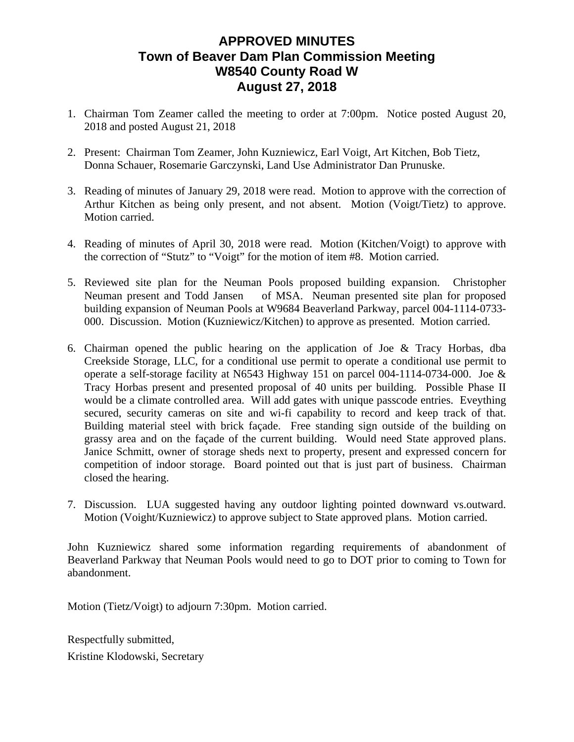### **APPROVED MINUTES Town of Beaver Dam Plan Commission Meeting W8540 County Road W August 27, 2018**

- 1. Chairman Tom Zeamer called the meeting to order at 7:00pm. Notice posted August 20, 2018 and posted August 21, 2018
- 2. Present: Chairman Tom Zeamer, John Kuzniewicz, Earl Voigt, Art Kitchen, Bob Tietz, Donna Schauer, Rosemarie Garczynski, Land Use Administrator Dan Prunuske.
- 3. Reading of minutes of January 29, 2018 were read. Motion to approve with the correction of Arthur Kitchen as being only present, and not absent. Motion (Voigt/Tietz) to approve. Motion carried.
- 4. Reading of minutes of April 30, 2018 were read. Motion (Kitchen/Voigt) to approve with the correction of "Stutz" to "Voigt" for the motion of item #8. Motion carried.
- 5. Reviewed site plan for the Neuman Pools proposed building expansion. Christopher Neuman present and Todd Jansen of MSA. Neuman presented site plan for proposed building expansion of Neuman Pools at W9684 Beaverland Parkway, parcel 004-1114-0733- 000. Discussion. Motion (Kuzniewicz/Kitchen) to approve as presented. Motion carried.
- 6. Chairman opened the public hearing on the application of Joe & Tracy Horbas, dba Creekside Storage, LLC, for a conditional use permit to operate a conditional use permit to operate a self-storage facility at N6543 Highway 151 on parcel 004-1114-0734-000. Joe  $\&$ Tracy Horbas present and presented proposal of 40 units per building. Possible Phase II would be a climate controlled area. Will add gates with unique passcode entries. Eveything secured, security cameras on site and wi-fi capability to record and keep track of that. Building material steel with brick façade. Free standing sign outside of the building on grassy area and on the façade of the current building. Would need State approved plans. Janice Schmitt, owner of storage sheds next to property, present and expressed concern for competition of indoor storage. Board pointed out that is just part of business. Chairman closed the hearing.
- 7. Discussion. LUA suggested having any outdoor lighting pointed downward vs.outward. Motion (Voight/Kuzniewicz) to approve subject to State approved plans. Motion carried.

John Kuzniewicz shared some information regarding requirements of abandonment of Beaverland Parkway that Neuman Pools would need to go to DOT prior to coming to Town for abandonment.

Motion (Tietz/Voigt) to adjourn 7:30pm. Motion carried.

Respectfully submitted, Kristine Klodowski, Secretary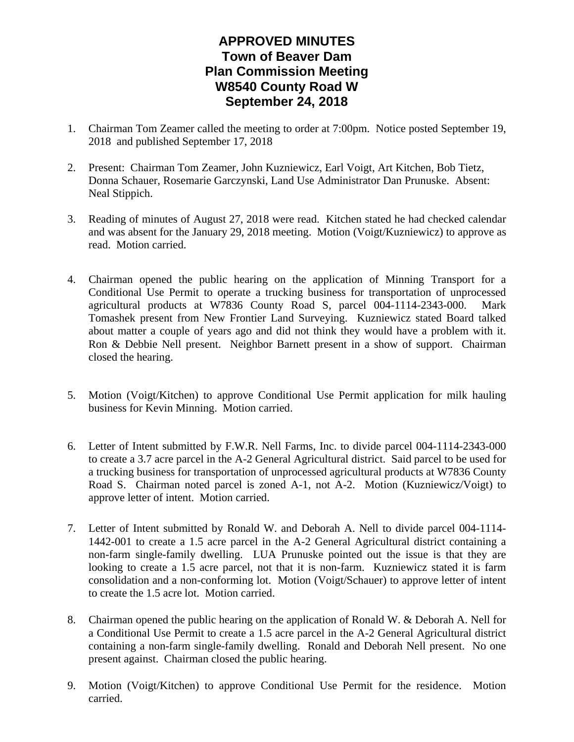# **APPROVED MINUTES Town of Beaver Dam Plan Commission Meeting W8540 County Road W September 24, 2018**

- 1. Chairman Tom Zeamer called the meeting to order at 7:00pm. Notice posted September 19, 2018 and published September 17, 2018
- 2. Present: Chairman Tom Zeamer, John Kuzniewicz, Earl Voigt, Art Kitchen, Bob Tietz, Donna Schauer, Rosemarie Garczynski, Land Use Administrator Dan Prunuske. Absent: Neal Stippich.
- 3. Reading of minutes of August 27, 2018 were read. Kitchen stated he had checked calendar and was absent for the January 29, 2018 meeting. Motion (Voigt/Kuzniewicz) to approve as read. Motion carried.
- 4. Chairman opened the public hearing on the application of Minning Transport for a Conditional Use Permit to operate a trucking business for transportation of unprocessed agricultural products at W7836 County Road S, parcel 004-1114-2343-000. Mark Tomashek present from New Frontier Land Surveying. Kuzniewicz stated Board talked about matter a couple of years ago and did not think they would have a problem with it. Ron & Debbie Nell present. Neighbor Barnett present in a show of support. Chairman closed the hearing.
- 5. Motion (Voigt/Kitchen) to approve Conditional Use Permit application for milk hauling business for Kevin Minning. Motion carried.
- 6. Letter of Intent submitted by F.W.R. Nell Farms, Inc. to divide parcel 004-1114-2343-000 to create a 3.7 acre parcel in the A-2 General Agricultural district. Said parcel to be used for a trucking business for transportation of unprocessed agricultural products at W7836 County Road S. Chairman noted parcel is zoned A-1, not A-2. Motion (Kuzniewicz/Voigt) to approve letter of intent. Motion carried.
- 7. Letter of Intent submitted by Ronald W. and Deborah A. Nell to divide parcel 004-1114- 1442-001 to create a 1.5 acre parcel in the A-2 General Agricultural district containing a non-farm single-family dwelling. LUA Prunuske pointed out the issue is that they are looking to create a 1.5 acre parcel, not that it is non-farm. Kuzniewicz stated it is farm consolidation and a non-conforming lot. Motion (Voigt/Schauer) to approve letter of intent to create the 1.5 acre lot. Motion carried.
- 8. Chairman opened the public hearing on the application of Ronald W. & Deborah A. Nell for a Conditional Use Permit to create a 1.5 acre parcel in the A-2 General Agricultural district containing a non-farm single-family dwelling. Ronald and Deborah Nell present. No one present against. Chairman closed the public hearing.
- 9. Motion (Voigt/Kitchen) to approve Conditional Use Permit for the residence. Motion carried.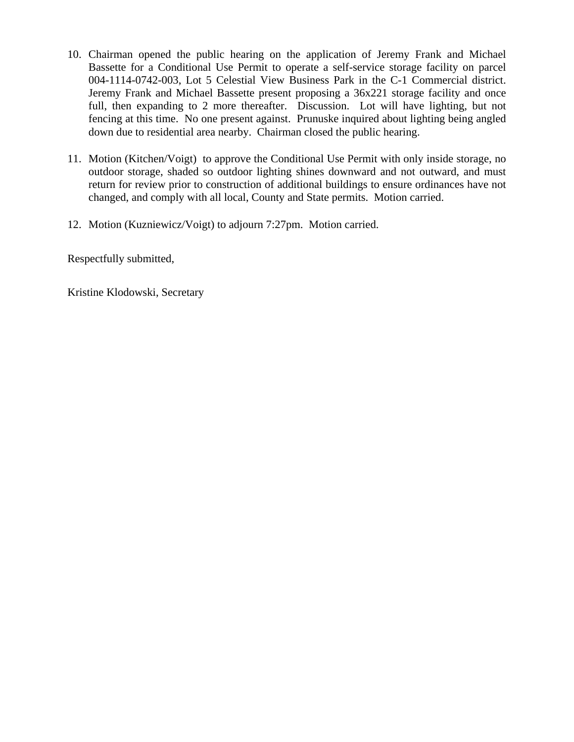- 10. Chairman opened the public hearing on the application of Jeremy Frank and Michael Bassette for a Conditional Use Permit to operate a self-service storage facility on parcel 004-1114-0742-003, Lot 5 Celestial View Business Park in the C-1 Commercial district. Jeremy Frank and Michael Bassette present proposing a 36x221 storage facility and once full, then expanding to 2 more thereafter. Discussion. Lot will have lighting, but not fencing at this time. No one present against. Prunuske inquired about lighting being angled down due to residential area nearby. Chairman closed the public hearing.
- 11. Motion (Kitchen/Voigt) to approve the Conditional Use Permit with only inside storage, no outdoor storage, shaded so outdoor lighting shines downward and not outward, and must return for review prior to construction of additional buildings to ensure ordinances have not changed, and comply with all local, County and State permits. Motion carried.
- 12. Motion (Kuzniewicz/Voigt) to adjourn 7:27pm. Motion carried.

Respectfully submitted,

Kristine Klodowski, Secretary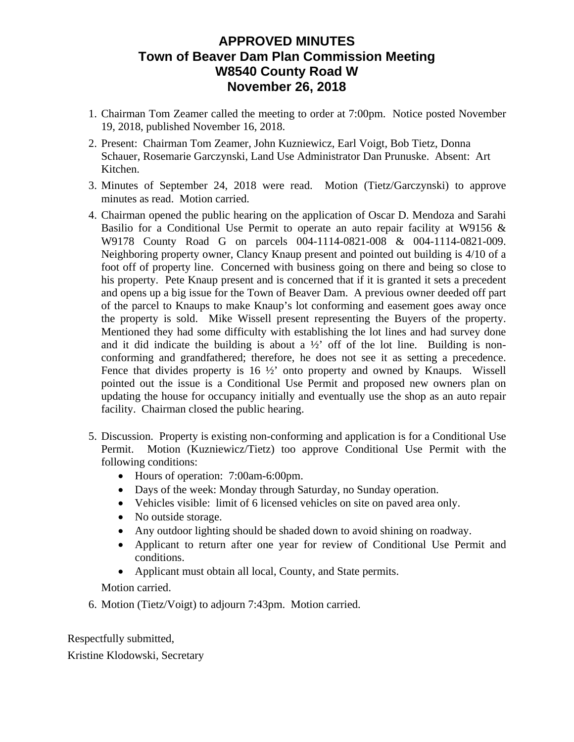### **APPROVED MINUTES Town of Beaver Dam Plan Commission Meeting W8540 County Road W November 26, 2018**

- 1. Chairman Tom Zeamer called the meeting to order at 7:00pm. Notice posted November 19, 2018, published November 16, 2018.
- 2. Present: Chairman Tom Zeamer, John Kuzniewicz, Earl Voigt, Bob Tietz, Donna Schauer, Rosemarie Garczynski, Land Use Administrator Dan Prunuske. Absent: Art Kitchen.
- 3. Minutes of September 24, 2018 were read. Motion (Tietz/Garczynski) to approve minutes as read. Motion carried.
- 4. Chairman opened the public hearing on the application of Oscar D. Mendoza and Sarahi Basilio for a Conditional Use Permit to operate an auto repair facility at W9156  $\&$ W9178 County Road G on parcels 004-1114-0821-008 & 004-1114-0821-009. Neighboring property owner, Clancy Knaup present and pointed out building is 4/10 of a foot off of property line. Concerned with business going on there and being so close to his property. Pete Knaup present and is concerned that if it is granted it sets a precedent and opens up a big issue for the Town of Beaver Dam. A previous owner deeded off part of the parcel to Knaups to make Knaup's lot conforming and easement goes away once the property is sold. Mike Wissell present representing the Buyers of the property. Mentioned they had some difficulty with establishing the lot lines and had survey done and it did indicate the building is about a  $\frac{1}{2}$  off of the lot line. Building is nonconforming and grandfathered; therefore, he does not see it as setting a precedence. Fence that divides property is 16 <sup>1</sup>/<sub>2</sub>' onto property and owned by Knaups. Wissell pointed out the issue is a Conditional Use Permit and proposed new owners plan on updating the house for occupancy initially and eventually use the shop as an auto repair facility. Chairman closed the public hearing.
- 5. Discussion. Property is existing non-conforming and application is for a Conditional Use Permit. Motion (Kuzniewicz/Tietz) too approve Conditional Use Permit with the following conditions:
	- Hours of operation: 7:00am-6:00pm.
	- Days of the week: Monday through Saturday, no Sunday operation.
	- Vehicles visible: limit of 6 licensed vehicles on site on paved area only.
	- No outside storage.
	- Any outdoor lighting should be shaded down to avoid shining on roadway.
	- Applicant to return after one year for review of Conditional Use Permit and conditions.
	- Applicant must obtain all local, County, and State permits.

Motion carried.

6. Motion (Tietz/Voigt) to adjourn 7:43pm. Motion carried.

Respectfully submitted,

Kristine Klodowski, Secretary